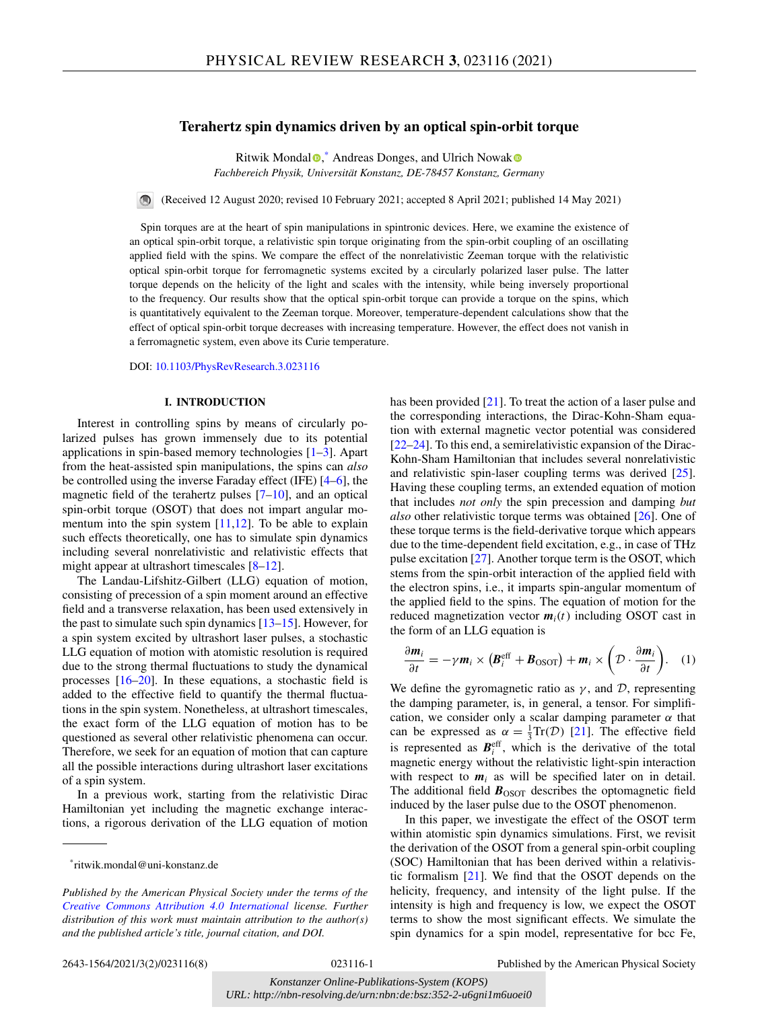# <span id="page-0-0"></span>**Terahertz spin dynamics driven by an optical spin-orbit torque**

Ritwik Mondal<sup>®</sup>[,](https://orcid.org/0000-0002-4529-0027)<sup>\*</sup> Andreas Donges, and Ulrich Nowa[k](https://orcid.org/0000-0003-2925-6774) *Fachbereich Physik, Universität Konstanz, DE-78457 Konstanz, Germany*

(Received 12 August 2020; revised 10 February 2021; accepted 8 April 2021; published 14 May 2021)  $\bigcirc$ 

Spin torques are at the heart of spin manipulations in spintronic devices. Here, we examine the existence of an optical spin-orbit torque, a relativistic spin torque originating from the spin-orbit coupling of an oscillating applied field with the spins. We compare the effect of the nonrelativistic Zeeman torque with the relativistic optical spin-orbit torque for ferromagnetic systems excited by a circularly polarized laser pulse. The latter torque depends on the helicity of the light and scales with the intensity, while being inversely proportional to the frequency. Our results show that the optical spin-orbit torque can provide a torque on the spins, which is quantitatively equivalent to the Zeeman torque. Moreover, temperature-dependent calculations show that the effect of optical spin-orbit torque decreases with increasing temperature. However, the effect does not vanish in a ferromagnetic system, even above its Curie temperature.

DOI: [10.1103/PhysRevResearch.3.023116](https://doi.org/10.1103/PhysRevResearch.3.023116)

## **I. INTRODUCTION**

Interest in controlling spins by means of circularly polarized pulses has grown immensely due to its potential applications in spin-based memory technologies [\[1–3\]](#page-6-0). Apart from the heat-assisted spin manipulations, the spins can *also* be controlled using the inverse Faraday effect (IFE) [\[4–6\]](#page-6-0), the magnetic field of the terahertz pulses  $[7-10]$ , and an optical spin-orbit torque (OSOT) that does not impart angular mo-mentum into the spin system [\[11,12\]](#page-6-0). To be able to explain such effects theoretically, one has to simulate spin dynamics including several nonrelativistic and relativistic effects that might appear at ultrashort timescales [\[8–12\]](#page-6-0).

The Landau-Lifshitz-Gilbert (LLG) equation of motion, consisting of precession of a spin moment around an effective field and a transverse relaxation, has been used extensively in the past to simulate such spin dynamics [\[13–15\]](#page-6-0). However, for a spin system excited by ultrashort laser pulses, a stochastic LLG equation of motion with atomistic resolution is required due to the strong thermal fluctuations to study the dynamical processes [\[16–](#page-6-0)[20\]](#page-7-0). In these equations, a stochastic field is added to the effective field to quantify the thermal fluctuations in the spin system. Nonetheless, at ultrashort timescales, the exact form of the LLG equation of motion has to be questioned as several other relativistic phenomena can occur. Therefore, we seek for an equation of motion that can capture all the possible interactions during ultrashort laser excitations of a spin system.

In a previous work, starting from the relativistic Dirac Hamiltonian yet including the magnetic exchange interactions, a rigorous derivation of the LLG equation of motion

the corresponding interactions, the Dirac-Kohn-Sham equation with external magnetic vector potential was considered [\[22–24\]](#page-7-0). To this end, a semirelativistic expansion of the Dirac-Kohn-Sham Hamiltonian that includes several nonrelativistic and relativistic spin-laser coupling terms was derived [\[25\]](#page-7-0). Having these coupling terms, an extended equation of motion that includes *not only* the spin precession and damping *but also* other relativistic torque terms was obtained [\[26\]](#page-7-0). One of these torque terms is the field-derivative torque which appears due to the time-dependent field excitation, e.g., in case of THz pulse excitation [\[27\]](#page-7-0). Another torque term is the OSOT, which stems from the spin-orbit interaction of the applied field with the electron spins, i.e., it imparts spin-angular momentum of the applied field to the spins. The equation of motion for the reduced magnetization vector  $m_i(t)$  including OSOT cast in the form of an LLG equation is

has been provided [\[21\]](#page-7-0). To treat the action of a laser pulse and

$$
\frac{\partial \mathbf{m}_i}{\partial t} = -\gamma \mathbf{m}_i \times \left( \mathbf{B}_i^{\text{eff}} + \mathbf{B}_{\text{OSOT}} \right) + \mathbf{m}_i \times \left( \mathcal{D} \cdot \frac{\partial \mathbf{m}_i}{\partial t} \right). \quad (1)
$$

We define the gyromagnetic ratio as  $\gamma$ , and  $\mathcal{D}$ , representing the damping parameter, is, in general, a tensor. For simplification, we consider only a scalar damping parameter  $\alpha$  that can be expressed as  $\alpha = \frac{1}{3} \text{Tr}(\mathcal{D})$  [\[21\]](#page-7-0). The effective field is represented as  $B_i^{\text{eff}}$ , which is the derivative of the total magnetic energy without the relativistic light-spin interaction with respect to  $m_i$  as will be specified later on in detail. The additional field  $\mathbf{B}_{\text{OSOT}}$  describes the optomagnetic field induced by the laser pulse due to the OSOT phenomenon.

In this paper, we investigate the effect of the OSOT term within atomistic spin dynamics simulations. First, we revisit the derivation of the OSOT from a general spin-orbit coupling (SOC) Hamiltonian that has been derived within a relativistic formalism [\[21\]](#page-7-0). We find that the OSOT depends on the helicity, frequency, and intensity of the light pulse. If the intensity is high and frequency is low, we expect the OSOT terms to show the most significant effects. We simulate the spin dynamics for a spin model, representative for bcc Fe,

2643-1564/2021/3(2)/023116(8) 023116-1 Published by the American Physical Society

<sup>\*</sup>ritwik.mondal@uni-konstanz.de

*Published by the American Physical Society under the terms of the [Creative Commons Attribution 4.0 International](https://creativecommons.org/licenses/by/4.0/) license. Further distribution of this work must maintain attribution to the author(s) and the published article's title, journal citation, and DOI.*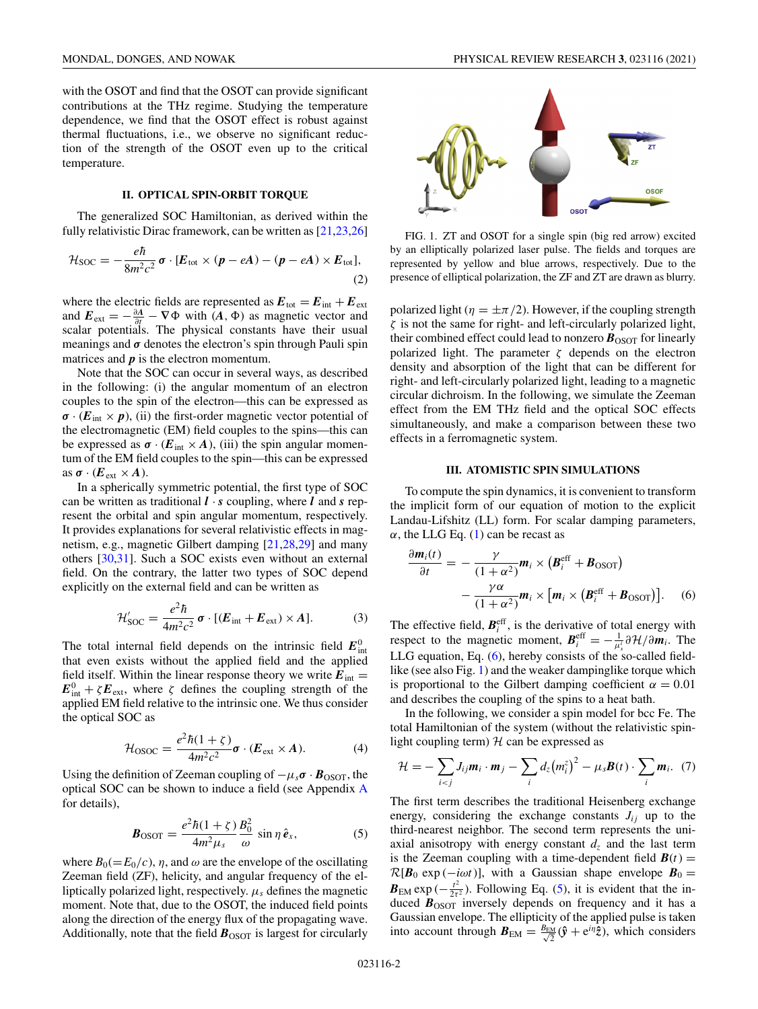<span id="page-1-0"></span>with the OSOT and find that the OSOT can provide significant contributions at the THz regime. Studying the temperature dependence, we find that the OSOT effect is robust against thermal fluctuations, i.e., we observe no significant reduction of the strength of the OSOT even up to the critical temperature.

# **II. OPTICAL SPIN-ORBIT TORQUE**

The generalized SOC Hamiltonian, as derived within the fully relativistic Dirac framework, can be written as [\[21,23,26\]](#page-7-0)

$$
\mathcal{H}_{\text{SOC}} = -\frac{e\hbar}{8m^2c^2}\,\boldsymbol{\sigma}\cdot[\boldsymbol{E}_{\text{tot}}\times(\boldsymbol{p}-e\boldsymbol{A})-(\boldsymbol{p}-e\boldsymbol{A})\times\boldsymbol{E}_{\text{tot}}],\tag{2}
$$

where the electric fields are represented as  $E_{\text{tot}} = E_{\text{int}} + E_{\text{ext}}$ and  $E_{ext} = -\frac{\partial A}{\partial t} - \nabla \Phi$  with  $(A, \Phi)$  as magnetic vector and scalar potentials. The physical constants have their usual meanings and  $\sigma$  denotes the electron's spin through Pauli spin matrices and *p* is the electron momentum.

Note that the SOC can occur in several ways, as described in the following: (i) the angular momentum of an electron couples to the spin of the electron—this can be expressed as  $\sigma$  · ( $E_{\text{int}} \times p$ ), (ii) the first-order magnetic vector potential of the electromagnetic (EM) field couples to the spins—this can be expressed as  $\sigma \cdot (E_{int} \times A)$ , (iii) the spin angular momentum of the EM field couples to the spin—this can be expressed as  $\sigma \cdot (E_{ext} \times A)$ .

In a spherically symmetric potential, the first type of SOC can be written as traditional  $\mathbf{l} \cdot \mathbf{s}$  coupling, where  $\mathbf{l}$  and  $\mathbf{s}$  represent the orbital and spin angular momentum, respectively. It provides explanations for several relativistic effects in magnetism, e.g., magnetic Gilbert damping [\[21,28,29\]](#page-7-0) and many others [\[30,31\]](#page-7-0). Such a SOC exists even without an external field. On the contrary, the latter two types of SOC depend explicitly on the external field and can be written as

$$
\mathcal{H}'_{\text{SOC}} = \frac{e^2 \hbar}{4m^2 c^2} \sigma \cdot [(\mathbf{E}_{\text{int}} + \mathbf{E}_{\text{ext}}) \times \mathbf{A}]. \tag{3}
$$

The total internal field depends on the intrinsic field  $E_{int}^{0}$ that even exists without the applied field and the applied field itself. Within the linear response theory we write  $E_{int}$  =  $E_{int}^{0} + \zeta E_{ext}$ , where  $\zeta$  defines the coupling strength of the applied EM field relative to the intrinsic one. We thus consider the optical SOC as

$$
\mathcal{H}_{\text{OSOC}} = \frac{e^2 \hbar (1 + \zeta)}{4m^2 c^2} \sigma \cdot (\mathbf{E}_{\text{ext}} \times \mathbf{A}).\tag{4}
$$

Using the definition of Zeeman coupling of  $-\mu_s \sigma \cdot \mathbf{B}_{\text{OSOT}}$ , the optical SOC can be shown to induce a field (see Appendix [A](#page-5-0) for details),

$$
\boldsymbol{B}_{\text{OSOT}} = \frac{e^2 \hbar (1+\zeta)}{4m^2 \mu_s} \frac{B_0^2}{\omega} \sin \eta \,\hat{\boldsymbol{e}}_x,\tag{5}
$$

where  $B_0(=E_0/c)$ ,  $\eta$ , and  $\omega$  are the envelope of the oscillating Zeeman field (ZF), helicity, and angular frequency of the elliptically polarized light, respectively.  $\mu_s$  defines the magnetic moment. Note that, due to the OSOT, the induced field points along the direction of the energy flux of the propagating wave. Additionally, note that the field  $\mathbf{B}_{\text{OSOT}}$  is largest for circularly



FIG. 1. ZT and OSOT for a single spin (big red arrow) excited by an elliptically polarized laser pulse. The fields and torques are represented by yellow and blue arrows, respectively. Due to the presence of elliptical polarization, the ZF and ZT are drawn as blurry.

polarized light ( $\eta = \pm \pi/2$ ). However, if the coupling strength  $\zeta$  is not the same for right- and left-circularly polarized light, their combined effect could lead to nonzero  $\mathbf{B}_{\text{OSOT}}$  for linearly polarized light. The parameter  $\zeta$  depends on the electron density and absorption of the light that can be different for right- and left-circularly polarized light, leading to a magnetic circular dichroism. In the following, we simulate the Zeeman effect from the EM THz field and the optical SOC effects simultaneously, and make a comparison between these two effects in a ferromagnetic system.

## **III. ATOMISTIC SPIN SIMULATIONS**

To compute the spin dynamics, it is convenient to transform the implicit form of our equation of motion to the explicit Landau-Lifshitz (LL) form. For scalar damping parameters,  $\alpha$ , the LLG Eq. [\(1\)](#page-0-0) can be recast as

$$
\frac{\partial \mathbf{m}_i(t)}{\partial t} = -\frac{\gamma}{(1+\alpha^2)} \mathbf{m}_i \times (\mathbf{B}_i^{\text{eff}} + \mathbf{B}_{\text{OSOT}}) -\frac{\gamma \alpha}{(1+\alpha^2)} \mathbf{m}_i \times [\mathbf{m}_i \times (\mathbf{B}_i^{\text{eff}} + \mathbf{B}_{\text{OSOT}})]. \quad (6)
$$

The effective field,  $B_i^{\text{eff}}$ , is the derivative of total energy with respect to the magnetic moment,  $B_i^{\text{eff}} = -\frac{1}{\mu_s^i} \partial \mathcal{H} / \partial m_i$ . The LLG equation, Eq. (6), hereby consists of the so-called fieldlike (see also Fig. 1) and the weaker dampinglike torque which is proportional to the Gilbert damping coefficient  $\alpha = 0.01$ and describes the coupling of the spins to a heat bath.

In the following, we consider a spin model for bcc Fe. The total Hamiltonian of the system (without the relativistic spinlight coupling term)  $H$  can be expressed as

$$
\mathcal{H} = -\sum_{i < j} J_{ij} \boldsymbol{m}_i \cdot \boldsymbol{m}_j - \sum_i d_z \big(m_i^z\big)^2 - \mu_s \boldsymbol{B}(t) \cdot \sum_i \boldsymbol{m}_i. \tag{7}
$$

The first term describes the traditional Heisenberg exchange energy, considering the exchange constants  $J_{ij}$  up to the third-nearest neighbor. The second term represents the uniaxial anisotropy with energy constant  $d<sub>z</sub>$  and the last term is the Zeeman coupling with a time-dependent field  $\mathbf{B}(t)$  =  $\mathcal{R}[\mathbf{B}_0 \exp(-i\omega t)]$ , with a Gaussian shape envelope  $\mathbf{B}_0 =$  $\mathbf{B}_{EM}$  exp ( $-\frac{t^2}{2\tau^2}$ ). Following Eq. (5), it is evident that the induced  $\vec{B}_{\text{OSOT}}$  inversely depends on frequency and it has a Gaussian envelope. The ellipticity of the applied pulse is taken into account through  $B_{EM} = \frac{B_{EM}}{\sqrt{2}}(\hat{y} + e^{i\eta}\hat{z})$ , which considers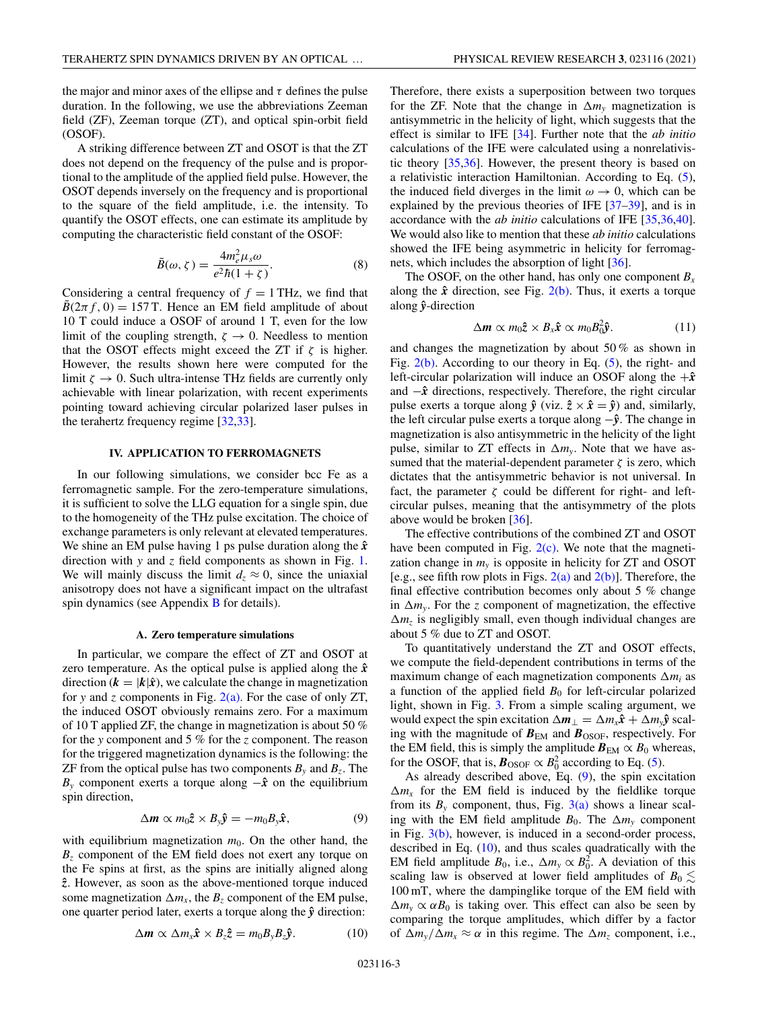<span id="page-2-0"></span>the major and minor axes of the ellipse and  $\tau$  defines the pulse duration. In the following, we use the abbreviations Zeeman field (ZF), Zeeman torque (ZT), and optical spin-orbit field (OSOF).

A striking difference between ZT and OSOT is that the ZT does not depend on the frequency of the pulse and is proportional to the amplitude of the applied field pulse. However, the OSOT depends inversely on the frequency and is proportional to the square of the field amplitude, i.e. the intensity. To quantify the OSOT effects, one can estimate its amplitude by computing the characteristic field constant of the OSOF:

$$
\tilde{B}(\omega,\zeta) = \frac{4m_e^2\mu_s\omega}{e^2\hbar(1+\zeta)}.\tag{8}
$$

Considering a central frequency of  $f = 1$  THz, we find that  $B(2\pi f, 0) = 157$  T. Hence an EM field amplitude of about 10 T could induce a OSOF of around 1 T, even for the low limit of the coupling strength,  $\zeta \to 0$ . Needless to mention that the OSOT effects might exceed the ZT if  $\zeta$  is higher. However, the results shown here were computed for the limit  $\zeta \to 0$ . Such ultra-intense THz fields are currently only achievable with linear polarization, with recent experiments pointing toward achieving circular polarized laser pulses in the terahertz frequency regime [\[32,33\]](#page-7-0).

## **IV. APPLICATION TO FERROMAGNETS**

In our following simulations, we consider bcc Fe as a ferromagnetic sample. For the zero-temperature simulations, it is sufficient to solve the LLG equation for a single spin, due to the homogeneity of the THz pulse excitation. The choice of exchange parameters is only relevant at elevated temperatures. We shine an EM pulse having 1 ps pulse duration along the  $\hat{x}$ direction with *y* and *z* field components as shown in Fig. [1.](#page-1-0) We will mainly discuss the limit  $d_7 \approx 0$ , since the uniaxial anisotropy does not have a significant impact on the ultrafast spin dynamics (see Appendix [B](#page-6-0) for details).

### **A. Zero temperature simulations**

In particular, we compare the effect of ZT and OSOT at zero temperature. As the optical pulse is applied along the  $\hat{x}$ direction ( $\mathbf{k} = |\mathbf{k}|\hat{\mathbf{x}}$ ), we calculate the change in magnetization for *y* and *z* components in Fig.  $2(a)$ . For the case of only ZT, the induced OSOT obviously remains zero. For a maximum of 10 T applied ZF, the change in magnetization is about 50 % for the *y* component and 5 % for the *z* component. The reason for the triggered magnetization dynamics is the following: the ZF from the optical pulse has two components  $B_y$  and  $B_z$ . The  $B<sub>y</sub>$  component exerts a torque along  $-\hat{x}$  on the equilibrium spin direction,

$$
\Delta \mathbf{m} \propto m_0 \mathbf{\hat{z}} \times B_{\mathbf{y}} \mathbf{\hat{y}} = -m_0 B_{\mathbf{y}} \mathbf{\hat{x}}, \tag{9}
$$

with equilibrium magnetization  $m_0$ . On the other hand, the *Bz* component of the EM field does not exert any torque on the Fe spins at first, as the spins are initially aligned along *z***ˆ**. However, as soon as the above-mentioned torque induced some magnetization  $\Delta m_x$ , the  $B_z$  component of the EM pulse, one quarter period later, exerts a torque along the *y***ˆ** direction:

$$
\Delta m \propto \Delta m_x \hat{\mathbf{x}} \times B_z \hat{\mathbf{z}} = m_0 B_y B_z \hat{\mathbf{y}}.
$$
 (10)

Therefore, there exists a superposition between two torques for the ZF. Note that the change in  $\Delta m_v$  magnetization is antisymmetric in the helicity of light, which suggests that the effect is similar to IFE [\[34\]](#page-7-0). Further note that the *ab initio* calculations of the IFE were calculated using a nonrelativistic theory [\[35,36\]](#page-7-0). However, the present theory is based on a relativistic interaction Hamiltonian. According to Eq. [\(5\)](#page-1-0), the induced field diverges in the limit  $\omega \rightarrow 0$ , which can be explained by the previous theories of IFE [\[37–39\]](#page-7-0), and is in accordance with the *ab initio* calculations of IFE [\[35,36,40\]](#page-7-0). We would also like to mention that these *ab initio* calculations showed the IFE being asymmetric in helicity for ferromagnets, which includes the absorption of light [\[36\]](#page-7-0).

The OSOF, on the other hand, has only one component  $B_x$ along the  $\hat{x}$  direction, see Fig. [2\(b\).](#page-3-0) Thus, it exerts a torque along *y***ˆ**-direction

$$
\Delta \mathbf{m} \propto m_0 \hat{\mathbf{z}} \times B_x \hat{\mathbf{x}} \propto m_0 B_0^2 \hat{\mathbf{y}}.\tag{11}
$$

and changes the magnetization by about 50 % as shown in Fig.  $2(b)$ . According to our theory in Eq. [\(5\)](#page-1-0), the right- and left-circular polarization will induce an OSOF along the  $+\hat{x}$ and −*x***ˆ** directions, respectively. Therefore, the right circular pulse exerts a torque along  $\hat{y}$  (viz.  $\hat{z} \times \hat{x} = \hat{y}$ ) and, similarly, the left circular pulse exerts a torque along −*y***ˆ**. The change in magnetization is also antisymmetric in the helicity of the light pulse, similar to ZT effects in  $\Delta m_v$ . Note that we have assumed that the material-dependent parameter  $\zeta$  is zero, which dictates that the antisymmetric behavior is not universal. In fact, the parameter  $\zeta$  could be different for right- and leftcircular pulses, meaning that the antisymmetry of the plots above would be broken [\[36\]](#page-7-0).

The effective contributions of the combined ZT and OSOT have been computed in Fig.  $2(c)$ . We note that the magnetization change in  $m<sub>v</sub>$  is opposite in helicity for ZT and OSOT [e.g., see fifth row plots in Figs.  $2(a)$  and  $2(b)$ ]. Therefore, the final effective contribution becomes only about 5 % change in  $\Delta m_v$ . For the *z* component of magnetization, the effective  $\Delta m_z$  is negligibly small, even though individual changes are about 5 % due to ZT and OSOT.

To quantitatively understand the ZT and OSOT effects, we compute the field-dependent contributions in terms of the maximum change of each magnetization components  $\Delta m_i$  as a function of the applied field  $B_0$  for left-circular polarized light, shown in Fig. [3.](#page-3-0) From a simple scaling argument, we would expect the spin excitation  $\Delta m_{\perp} = \Delta m_x \hat{x} + \Delta m_y \hat{y}$  scaling with the magnitude of  $B_{EM}$  and  $B_{OSOF}$ , respectively. For the EM field, this is simply the amplitude  $B_{EM} \propto B_0$  whereas, for the OSOF, that is,  $\mathbf{B}_{\text{OSOF}} \propto B_0^2$  according to Eq. [\(5\)](#page-1-0).

As already described above, Eq.  $(9)$ , the spin excitation  $\Delta m_x$  for the EM field is induced by the fieldlike torque from its  $B_y$  component, thus, Fig. [3\(a\)](#page-3-0) shows a linear scaling with the EM field amplitude  $B_0$ . The  $\Delta m_v$  component in Fig.  $3(b)$ , however, is induced in a second-order process, described in Eq. (10), and thus scales quadratically with the EM field amplitude  $B_0$ , i.e.,  $\Delta m_y \propto B_0^2$ . A deviation of this scaling law is observed at lower field amplitudes of  $B_0 \lesssim$ 100 mT, where the dampinglike torque of the EM field with  $\Delta m_v \propto \alpha B_0$  is taking over. This effect can also be seen by comparing the torque amplitudes, which differ by a factor of  $\Delta m_v / \Delta m_x \approx \alpha$  in this regime. The  $\Delta m_z$  component, i.e.,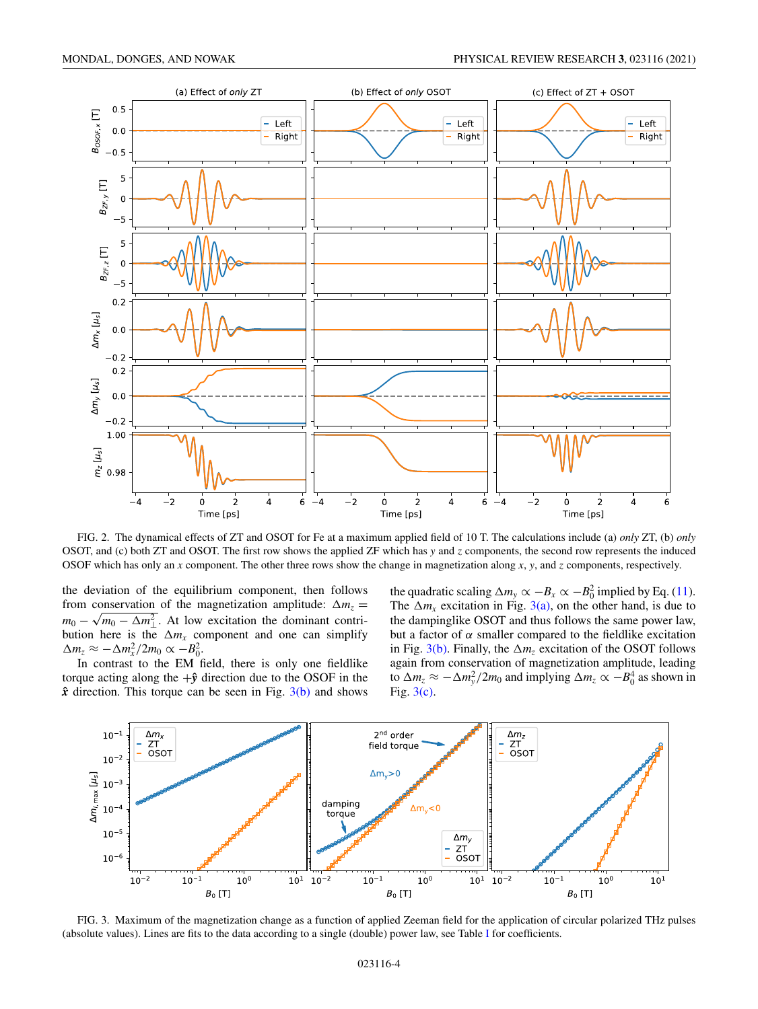<span id="page-3-0"></span>

FIG. 2. The dynamical effects of ZT and OSOT for Fe at a maximum applied field of 10 T. The calculations include (a) *only* ZT, (b) *only* OSOT, and (c) both ZT and OSOT. The first row shows the applied ZF which has *y* and *z* components, the second row represents the induced OSOF which has only an *x* component. The other three rows show the change in magnetization along *x*, *y*, and *z* components, respectively.

the deviation of the equilibrium component, then follows from conservation of the magnetization amplitude:  $\Delta m_z$  =  $m_0 - \sqrt{m_0 - \Delta m_\perp^2}$ . At low excitation the dominant contribution here is the  $\Delta m_x$  component and one can simplify  $\Delta m_z \approx -\Delta m_x^2/2m_0 \propto -B_0^2$ .

In contrast to the EM field, there is only one fieldlike torque acting along the  $+\hat{y}$  direction due to the OSOF in the  $\hat{x}$  direction. This torque can be seen in Fig.  $3(b)$  and shows

the quadratic scaling  $\Delta m_y \propto -B_x \propto -B_0^2$  implied by Eq. [\(11\)](#page-2-0). The  $\Delta m_x$  excitation in Fig. 3(a), on the other hand, is due to the dampinglike OSOT and thus follows the same power law, but a factor of  $\alpha$  smaller compared to the fieldlike excitation in Fig.  $3(b)$ . Finally, the  $\Delta m_z$  excitation of the OSOT follows again from conservation of magnetization amplitude, leading to  $\Delta m_z \approx -\Delta m_y^2/2m_0$  and implying  $\Delta m_z \propto -B_0^4$  as shown in Fig. 3(c).



FIG. 3. Maximum of the magnetization change as a function of applied Zeeman field for the application of circular polarized THz pulses (absolute values). Lines are fits to the data according to a single (double) power law, see Table [I](#page-4-0) for coefficients.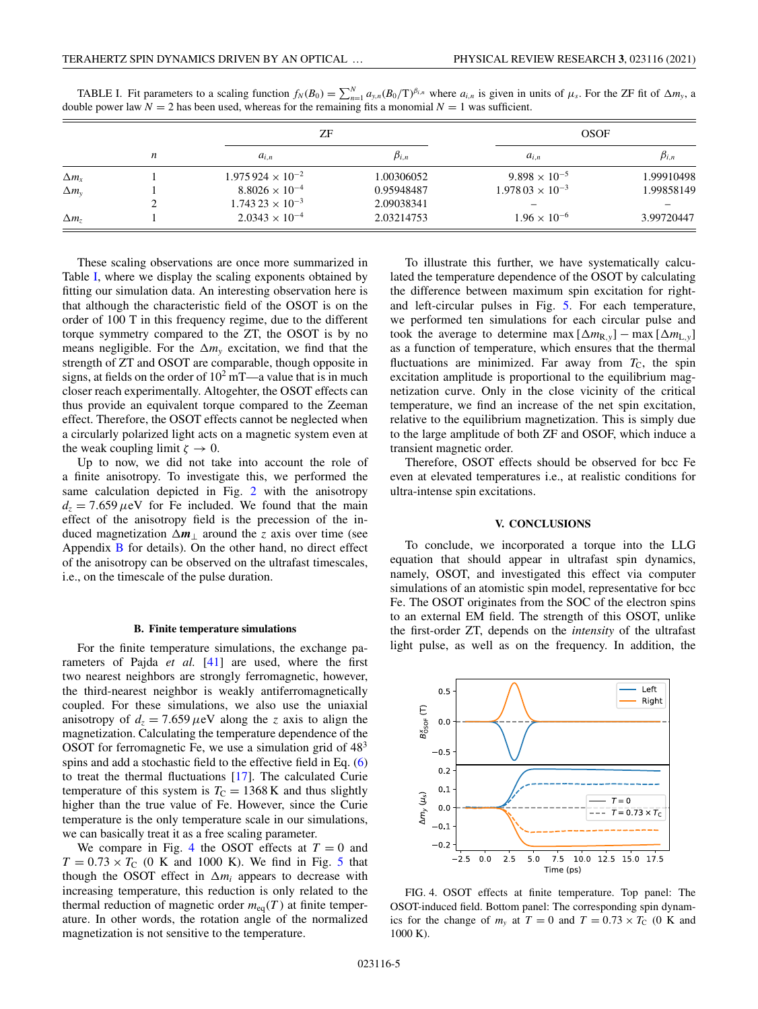|                    | $\boldsymbol{n}$ | ΖF                         |               | <b>OSOF</b>              |               |
|--------------------|------------------|----------------------------|---------------|--------------------------|---------------|
|                    |                  | $a_{i,n}$                  | $\beta_{i,n}$ | $a_{i,n}$                | $\beta_{i,n}$ |
| $\Delta m_{\rm x}$ |                  | $1.975924 \times 10^{-2}$  | 1.00306052    | $9.898 \times 10^{-5}$   | 1.99910498    |
| $\Delta m_{v}$     |                  | $8.8026 \times 10^{-4}$    | 0.95948487    | $1.97803 \times 10^{-3}$ | 1.99858149    |
|                    |                  | $1.743\,23 \times 10^{-3}$ | 2.09038341    |                          |               |
| $\Delta m_z$       |                  | $2.0343 \times 10^{-4}$    | 2.03214753    | $1.96 \times 10^{-6}$    | 3.99720447    |

<span id="page-4-0"></span>TABLE I. Fit parameters to a scaling function  $f_N(B_0) = \sum_{n=1}^N a_{y,n}(B_0/T)^{\beta_{i,n}}$  where  $a_{i,n}$  is given in units of  $\mu_s$ . For the ZF fit of  $\Delta m_y$ , a double power law  $N = 2$  has been used, whereas for the remaining fits a monomial  $N = 1$  was sufficient.

These scaling observations are once more summarized in Table I, where we display the scaling exponents obtained by fitting our simulation data. An interesting observation here is that although the characteristic field of the OSOT is on the order of 100 T in this frequency regime, due to the different torque symmetry compared to the ZT, the OSOT is by no means negligible. For the  $\Delta m_v$  excitation, we find that the strength of ZT and OSOT are comparable, though opposite in signs, at fields on the order of  $10<sup>2</sup>$  mT—a value that is in much closer reach experimentally. Altogehter, the OSOT effects can thus provide an equivalent torque compared to the Zeeman effect. Therefore, the OSOT effects cannot be neglected when a circularly polarized light acts on a magnetic system even at the weak coupling limit  $\zeta \to 0$ .

Up to now, we did not take into account the role of a finite anisotropy. To investigate this, we performed the same calculation depicted in Fig. [2](#page-3-0) with the anisotropy  $d_z = 7.659 \,\mu\text{eV}$  for Fe included. We found that the main effect of the anisotropy field is the precession of the induced magnetization  $\Delta m_1$  around the *z* axis over time (see Appendix [B](#page-6-0) for details). On the other hand, no direct effect of the anisotropy can be observed on the ultrafast timescales, i.e., on the timescale of the pulse duration.

#### **B. Finite temperature simulations**

For the finite temperature simulations, the exchange parameters of Pajda *et al.* [\[41\]](#page-7-0) are used, where the first two nearest neighbors are strongly ferromagnetic, however, the third-nearest neighbor is weakly antiferromagnetically coupled. For these simulations, we also use the uniaxial anisotropy of  $d_z = 7.659 \mu\text{eV}$  along the *z* axis to align the magnetization. Calculating the temperature dependence of the OSOT for ferromagnetic Fe, we use a simulation grid of  $48<sup>3</sup>$ spins and add a stochastic field to the effective field in Eq. [\(6\)](#page-1-0) to treat the thermal fluctuations [\[17\]](#page-6-0). The calculated Curie temperature of this system is  $T<sub>C</sub> = 1368$  K and thus slightly higher than the true value of Fe. However, since the Curie temperature is the only temperature scale in our simulations, we can basically treat it as a free scaling parameter.

We compare in Fig. 4 the OSOT effects at  $T = 0$  and  $T = 0.73 \times T_C$  (0 K and 1000 K). We find in Fig. [5](#page-5-0) that though the OSOT effect in  $\Delta m_i$  appears to decrease with increasing temperature, this reduction is only related to the thermal reduction of magnetic order  $m_{eq}(T)$  at finite temperature. In other words, the rotation angle of the normalized magnetization is not sensitive to the temperature.

To illustrate this further, we have systematically calculated the temperature dependence of the OSOT by calculating the difference between maximum spin excitation for rightand left-circular pulses in Fig. [5.](#page-5-0) For each temperature, we performed ten simulations for each circular pulse and took the average to determine max  $[\Delta m_{R,y}]$  – max  $[\Delta m_{L,y}]$ as a function of temperature, which ensures that the thermal fluctuations are minimized. Far away from  $T_{\rm C}$ , the spin excitation amplitude is proportional to the equilibrium magnetization curve. Only in the close vicinity of the critical temperature, we find an increase of the net spin excitation, relative to the equilibrium magnetization. This is simply due to the large amplitude of both ZF and OSOF, which induce a transient magnetic order.

Therefore, OSOT effects should be observed for bcc Fe even at elevated temperatures i.e., at realistic conditions for ultra-intense spin excitations.

### **V. CONCLUSIONS**

To conclude, we incorporated a torque into the LLG equation that should appear in ultrafast spin dynamics, namely, OSOT, and investigated this effect via computer simulations of an atomistic spin model, representative for bcc Fe. The OSOT originates from the SOC of the electron spins to an external EM field. The strength of this OSOT, unlike the first-order ZT, depends on the *intensity* of the ultrafast light pulse, as well as on the frequency. In addition, the



FIG. 4. OSOT effects at finite temperature. Top panel: The OSOT-induced field. Bottom panel: The corresponding spin dynamics for the change of  $m<sub>y</sub>$  at  $T = 0$  and  $T = 0.73 \times T<sub>C</sub>$  (0 K and 1000 K).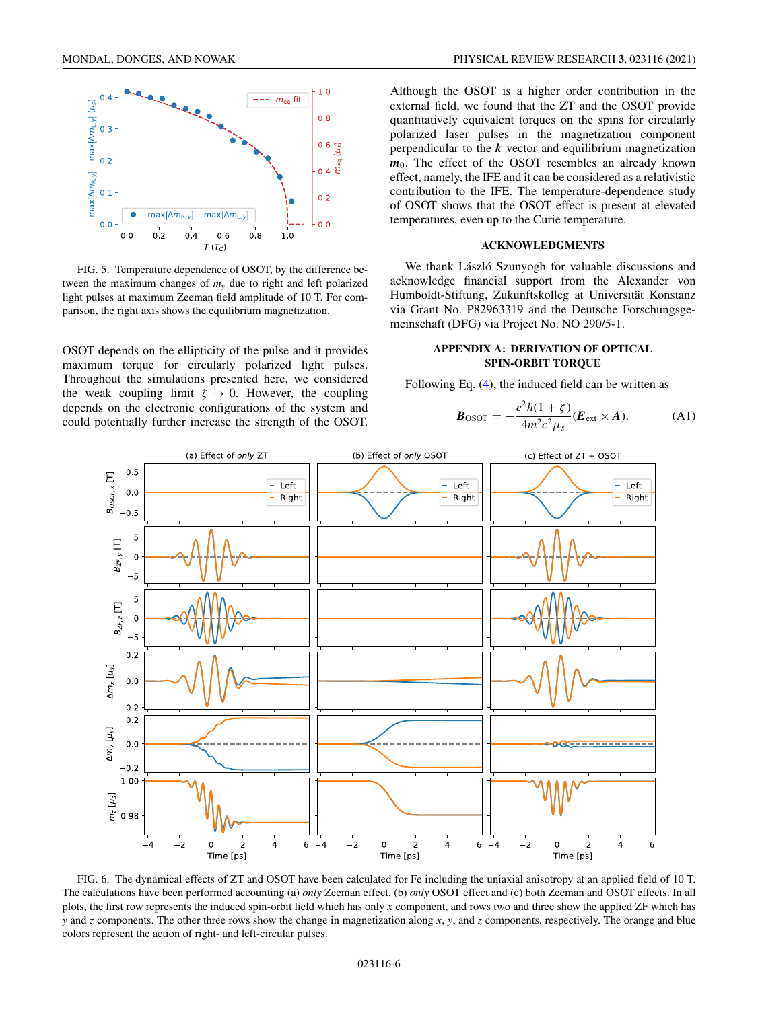<span id="page-5-0"></span>

FIG. 5. Temperature dependence of OSOT, by the difference between the maximum changes of *my* due to right and left polarized light pulses at maximum Zeeman field amplitude of 10 T. For comparison, the right axis shows the equilibrium magnetization.

OSOT depends on the ellipticity of the pulse and it provides maximum torque for circularly polarized light pulses. Throughout the simulations presented here, we considered the weak coupling limit  $\zeta \to 0$ . However, the coupling depends on the electronic configurations of the system and could potentially further increase the strength of the OSOT. Although the OSOT is a higher order contribution in the external field, we found that the ZT and the OSOT provide quantitatively equivalent torques on the spins for circularly polarized laser pulses in the magnetization component perpendicular to the *k* vector and equilibrium magnetization  $m_0$ . The effect of the OSOT resembles an already known effect, namely, the IFE and it can be considered as a relativistic contribution to the IFE. The temperature-dependence study of OSOT shows that the OSOT effect is present at elevated temperatures, even up to the Curie temperature.

#### **ACKNOWLEDGMENTS**

We thank László Szunyogh for valuable discussions and acknowledge financial support from the Alexander von Humboldt-Stiftung, Zukunftskolleg at Universität Konstanz via Grant No. P82963319 and the Deutsche Forschungsgemeinschaft (DFG) via Project No. NO 290/5-1.

## **APPENDIX A: DERIVATION OF OPTICAL SPIN-ORBIT TORQUE**

Following Eq. [\(4\)](#page-1-0), the induced field can be written as

$$
\boldsymbol{B}_{\text{OSOT}} = -\frac{e^2 \hbar (1+\zeta)}{4m^2 c^2 \mu_s} (\boldsymbol{E}_{\text{ext}} \times \boldsymbol{A}). \tag{A1}
$$



FIG. 6. The dynamical effects of ZT and OSOT have been calculated for Fe including the uniaxial anisotropy at an applied field of 10 T. The calculations have been performed accounting (a) *only* Zeeman effect, (b) *only* OSOT effect and (c) both Zeeman and OSOT effects. In all plots, the first row represents the induced spin-orbit field which has only *x* component, and rows two and three show the applied ZF which has *y* and *z* components. The other three rows show the change in magnetization along *x*, *y*, and *z* components, respectively. The orange and blue colors represent the action of right- and left-circular pulses.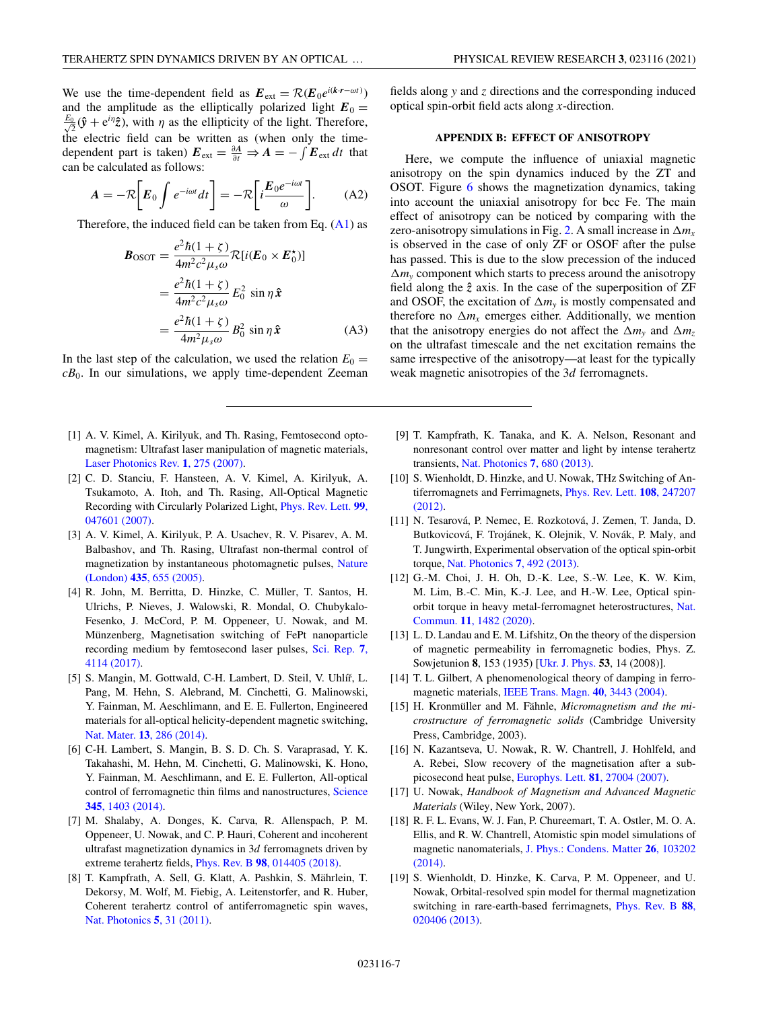<span id="page-6-0"></span>We use the time-dependent field as  $E_{ext} = \mathcal{R}(E_0 e^{i(k \cdot r - \omega t)})$ and the amplitude as the elliptically polarized light  $E_0 =$  $\frac{E_0}{\sqrt{2}}(\hat{\mathbf{y}} + e^{i\eta}\hat{\mathbf{z}})$ , with  $\eta$  as the ellipticity of the light. Therefore, the electric field can be written as (when only the timedependent part is taken)  $E_{ext} = \frac{\partial A}{\partial t} \Rightarrow A = -\int E_{ext} dt$  that can be calculated as follows:

$$
A = -\mathcal{R}\bigg[E_0 \int e^{-i\omega t} dt\bigg] = -\mathcal{R}\bigg[i\frac{E_0 e^{-i\omega t}}{\omega}\bigg].\tag{A2}
$$

Therefore, the induced field can be taken from Eq.  $(A1)$  as

$$
\mathbf{B}_{\text{OSOT}} = \frac{e^2 \hbar (1 + \zeta)}{4m^2 c^2 \mu_s \omega} \mathcal{R}[i(\mathbf{E}_0 \times \mathbf{E}_0^{\star})]
$$
  
= 
$$
\frac{e^2 \hbar (1 + \zeta)}{4m^2 c^2 \mu_s \omega} E_0^2 \sin \eta \hat{\mathbf{x}}
$$
  
= 
$$
\frac{e^2 \hbar (1 + \zeta)}{4m^2 \mu_s \omega} B_0^2 \sin \eta \hat{\mathbf{x}}
$$
 (A3)

In the last step of the calculation, we used the relation  $E_0 =$  $cB_0$ . In our simulations, we apply time-dependent Zeeman

- [1] A. V. Kimel, A. Kirilyuk, and Th. Rasing, Femtosecond optomagnetism: Ultrafast laser manipulation of magnetic materials, [Laser Photonics Rev.](https://doi.org/10.1002/lpor.200710022) **1**, 275 (2007).
- [2] C. D. Stanciu, F. Hansteen, A. V. Kimel, A. Kirilyuk, A. Tsukamoto, A. Itoh, and Th. Rasing, All-Optical Magnetic [Recording with Circularly Polarized Light,](https://doi.org/10.1103/PhysRevLett.99.047601) Phys. Rev. Lett. **99**, 047601 (2007).
- [3] A. V. Kimel, A. Kirilyuk, P. A. Usachev, R. V. Pisarev, A. M. Balbashov, and Th. Rasing, Ultrafast non-thermal control of [magnetization by instantaneous photomagnetic pulses,](https://doi.org/10.1038/nature03564) Nature (London) **435**, 655 (2005).
- [4] R. John, M. Berritta, D. Hinzke, C. Müller, T. Santos, H. Ulrichs, P. Nieves, J. Walowski, R. Mondal, O. Chubykalo-Fesenko, J. McCord, P. M. Oppeneer, U. Nowak, and M. Münzenberg, Magnetisation switching of FePt nanoparticle [recording medium by femtosecond laser pulses,](https://doi.org/10.1038/s41598-017-04167-w) Sci. Rep. **7**, 4114 (2017).
- [5] S. Mangin, M. Gottwald, C-H. Lambert, D. Steil, V. Uhlíř, L. Pang, M. Hehn, S. Alebrand, M. Cinchetti, G. Malinowski, Y. Fainman, M. Aeschlimann, and E. E. Fullerton, Engineered materials for all-optical helicity-dependent magnetic switching, Nat. Mater. **13**[, 286 \(2014\).](https://doi.org/10.1038/nmat3864)
- [6] C-H. Lambert, S. Mangin, B. S. D. Ch. S. Varaprasad, Y. K. Takahashi, M. Hehn, M. Cinchetti, G. Malinowski, K. Hono, Y. Fainman, M. Aeschlimann, and E. E. Fullerton, All-optical [control of ferromagnetic thin films and nanostructures,](https://doi.org/10.1126/science.1253493) Science **345**, 1403 (2014).
- [7] M. Shalaby, A. Donges, K. Carva, R. Allenspach, P. M. Oppeneer, U. Nowak, and C. P. Hauri, Coherent and incoherent ultrafast magnetization dynamics in 3*d* ferromagnets driven by extreme terahertz fields, Phys. Rev. B **98**[, 014405 \(2018\).](https://doi.org/10.1103/PhysRevB.98.014405)
- [8] T. Kampfrath, A. Sell, G. Klatt, A. Pashkin, S. Mährlein, T. Dekorsy, M. Wolf, M. Fiebig, A. Leitenstorfer, and R. Huber, Coherent terahertz control of antiferromagnetic spin waves, [Nat. Photonics](https://doi.org/10.1038/nphoton.2010.259) **5**, 31 (2011).

### **APPENDIX B: EFFECT OF ANISOTROPY**

Here, we compute the influence of uniaxial magnetic anisotropy on the spin dynamics induced by the ZT and OSOT. Figure [6](#page-5-0) shows the magnetization dynamics, taking into account the uniaxial anisotropy for bcc Fe. The main effect of anisotropy can be noticed by comparing with the zero-anisotropy simulations in Fig. [2.](#page-3-0) A small increase in  $\Delta m_x$ is observed in the case of only ZF or OSOF after the pulse has passed. This is due to the slow precession of the induced  $\Delta m$ <sub>y</sub> component which starts to precess around the anisotropy field along the  $\hat{z}$  axis. In the case of the superposition of ZF and OSOF, the excitation of  $\Delta m_v$  is mostly compensated and therefore no  $\Delta m_x$  emerges either. Additionally, we mention that the anisotropy energies do not affect the  $\Delta m_v$  and  $\Delta m_z$ on the ultrafast timescale and the net excitation remains the same irrespective of the anisotropy—at least for the typically weak magnetic anisotropies of the 3*d* ferromagnets.

- [9] T. Kampfrath, K. Tanaka, and K. A. Nelson, Resonant and nonresonant control over matter and light by intense terahertz transients, [Nat. Photonics](https://doi.org/10.1038/nphoton.2013.184) **7**, 680 (2013).
- [10] S. Wienholdt, D. Hinzke, and U. Nowak, THz Switching of An[tiferromagnets and Ferrimagnets,](https://doi.org/10.1103/PhysRevLett.108.247207) Phys. Rev. Lett. **108**, 247207 (2012).
- [11] N. Tesarová, P. Nemec, E. Rozkotová, J. Zemen, T. Janda, D. Butkovicová, F. Trojánek, K. Olejnik, V. Novák, P. Maly, and T. Jungwirth, Experimental observation of the optical spin-orbit torque, [Nat. Photonics](https://doi.org/10.1038/nphoton.2013.76) **7**, 492 (2013).
- [12] G.-M. Choi, J. H. Oh, D.-K. Lee, S.-W. Lee, K. W. Kim, M. Lim, B.-C. Min, K.-J. Lee, and H.-W. Lee, Optical spin[orbit torque in heavy metal-ferromagnet heterostructures,](https://doi.org/10.1038/s41467-020-15247-3) Nat. Commun. **11**, 1482 (2020).
- [13] L. D. Landau and E. M. Lifshitz, On the theory of the dispersion of magnetic permeability in ferromagnetic bodies, Phys. Z. Sowjetunion **8**, 153 (1935) [\[Ukr. J. Phys.](http://archive.ujp.bitp.kiev.ua/files/journals/53/si/53SI06p.pdf) **53**, 14 (2008)].
- [14] T. L. Gilbert, A phenomenological theory of damping in ferromagnetic materials, [IEEE Trans. Magn.](https://doi.org/10.1109/TMAG.2004.836740) **40**, 3443 (2004).
- [15] H. Kronmüller and M. Fähnle, *Micromagnetism and the microstructure of ferromagnetic solids* (Cambridge University Press, Cambridge, 2003).
- [16] N. Kazantseva, U. Nowak, R. W. Chantrell, J. Hohlfeld, and A. Rebei, Slow recovery of the magnetisation after a subpicosecond heat pulse, [Europhys. Lett.](https://doi.org/10.1209/0295-5075/81/27004) **81**, 27004 (2007).
- [17] U. Nowak, *Handbook of Magnetism and Advanced Magnetic Materials* (Wiley, New York, 2007).
- [18] R. F. L. Evans, W. J. Fan, P. Chureemart, T. A. Ostler, M. O. A. Ellis, and R. W. Chantrell, Atomistic spin model simulations of magnetic nanomaterials, [J. Phys.: Condens. Matter](https://doi.org/10.1088/0953-8984/26/10/103202) **26**, 103202 (2014).
- [19] S. Wienholdt, D. Hinzke, K. Carva, P. M. Oppeneer, and U. Nowak, Orbital-resolved spin model for thermal magnetization [switching in rare-earth-based ferrimagnets,](https://doi.org/10.1103/PhysRevB.88.020406) Phys. Rev. B **88**, 020406 (2013).